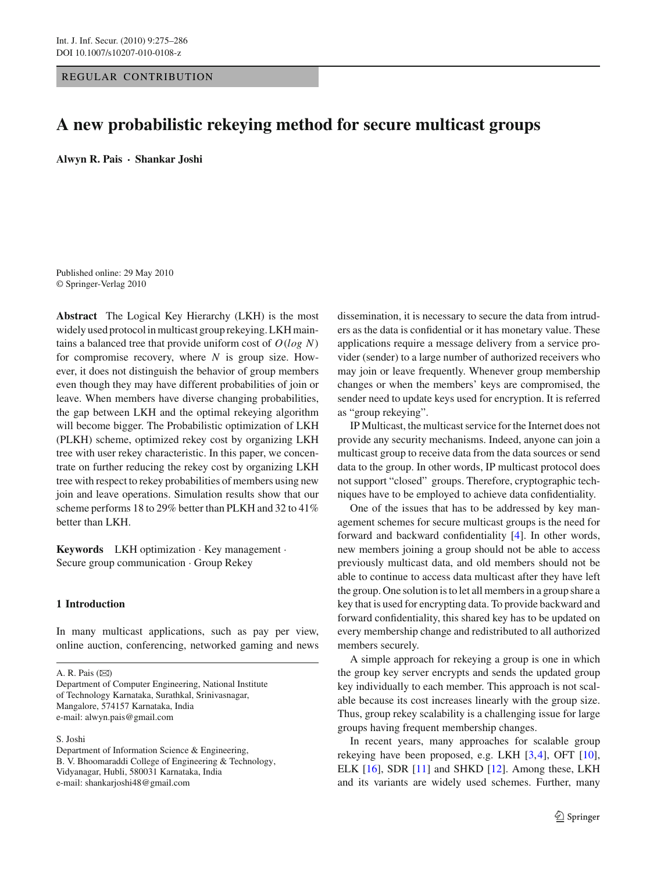## REGULAR CONTRIBUTION

# **A new probabilistic rekeying method for secure multicast groups**

**Alwyn R. Pais · Shankar Joshi**

Published online: 29 May 2010 © Springer-Verlag 2010

**Abstract** The Logical Key Hierarchy (LKH) is the most widely used protocol in multicast group rekeying. LKH maintains a balanced tree that provide uniform cost of *O*(*log N*) for compromise recovery, where *N* is group size. However, it does not distinguish the behavior of group members even though they may have different probabilities of join or leave. When members have diverse changing probabilities, the gap between LKH and the optimal rekeying algorithm will become bigger. The Probabilistic optimization of LKH (PLKH) scheme, optimized rekey cost by organizing LKH tree with user rekey characteristic. In this paper, we concentrate on further reducing the rekey cost by organizing LKH tree with respect to rekey probabilities of members using new join and leave operations. Simulation results show that our scheme performs 18 to 29% better than PLKH and 32 to 41% better than LKH.

**Keywords** LKH optimization · Key management · Secure group communication · Group Rekey

## **1 Introduction**

In many multicast applications, such as pay per view, online auction, conferencing, networked gaming and news

A. R. Pais (⊠)

Department of Computer Engineering, National Institute of Technology Karnataka, Surathkal, Srinivasnagar, Mangalore, 574157 Karnataka, India e-mail: alwyn.pais@gmail.com

#### S. Joshi

dissemination, it is necessary to secure the data from intruders as the data is confidential or it has monetary value. These applications require a message delivery from a service provider (sender) to a large number of authorized receivers who may join or leave frequently. Whenever group membership changes or when the members' keys are compromised, the sender need to update keys used for encryption. It is referred as "group rekeying".

IP Multicast, the multicast service for the Internet does not provide any security mechanisms. Indeed, anyone can join a multicast group to receive data from the data sources or send data to the group. In other words, IP multicast protocol does not support "closed" groups. Therefore, cryptographic techniques have to be employed to achieve data confidentiality.

One of the issues that has to be addressed by key management schemes for secure multicast groups is the need for forward and backward confidentiality [\[4\]](#page-10-0). In other words, new members joining a group should not be able to access previously multicast data, and old members should not be able to continue to access data multicast after they have left the group. One solution is to let all members in a group share a key that is used for encrypting data. To provide backward and forward confidentiality, this shared key has to be updated on every membership change and redistributed to all authorized members securely.

A simple approach for rekeying a group is one in which the group key server encrypts and sends the updated group key individually to each member. This approach is not scalable because its cost increases linearly with the group size. Thus, group rekey scalability is a challenging issue for large groups having frequent membership changes.

In recent years, many approaches for scalable group rekeying have been proposed, e.g. LKH [\[3](#page-10-1),[4\]](#page-10-0), OFT [\[10](#page-10-2)], ELK [\[16](#page-10-3)], SDR [\[11](#page-10-4)] and SHKD [\[12](#page-10-5)]. Among these, LKH and its variants are widely used schemes. Further, many

Department of Information Science & Engineering, B. V. Bhoomaraddi College of Engineering & Technology, Vidyanagar, Hubli, 580031 Karnataka, India e-mail: shankarjoshi48@gmail.com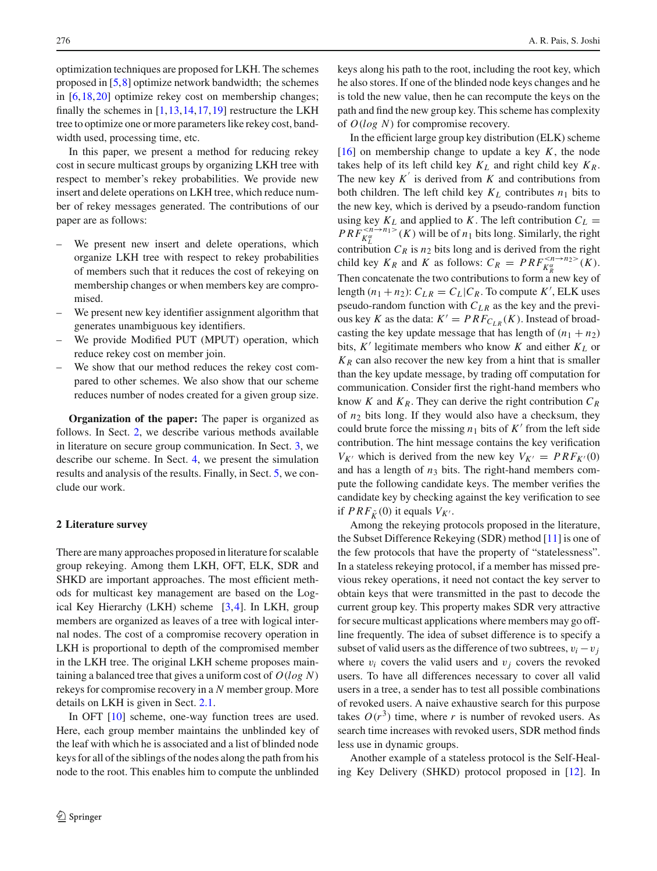optimization techniques are proposed for LKH. The schemes proposed in [\[5,](#page-10-6)[8\]](#page-10-7) optimize network bandwidth; the schemes in [\[6,](#page-10-8)[18](#page-10-9)[,20](#page-10-10)] optimize rekey cost on membership changes; finally the schemes in  $[1,13,14,17,19]$  $[1,13,14,17,19]$  $[1,13,14,17,19]$  $[1,13,14,17,19]$  $[1,13,14,17,19]$  $[1,13,14,17,19]$  $[1,13,14,17,19]$  restructure the LKH tree to optimize one or more parameters like rekey cost, bandwidth used, processing time, etc.

In this paper, we present a method for reducing rekey cost in secure multicast groups by organizing LKH tree with respect to member's rekey probabilities. We provide new insert and delete operations on LKH tree, which reduce number of rekey messages generated. The contributions of our paper are as follows:

- We present new insert and delete operations, which organize LKH tree with respect to rekey probabilities of members such that it reduces the cost of rekeying on membership changes or when members key are compromised.
- We present new key identifier assignment algorithm that generates unambiguous key identifiers.
- We provide Modified PUT (MPUT) operation, which reduce rekey cost on member join.
- We show that our method reduces the rekey cost compared to other schemes. We also show that our scheme reduces number of nodes created for a given group size.

**Organization of the paper:** The paper is organized as follows. In Sect. [2,](#page-1-0) we describe various methods available in literature on secure group communication. In Sect. [3,](#page-4-0) we describe our scheme. In Sect. [4,](#page-7-0) we present the simulation results and analysis of the results. Finally, in Sect. [5,](#page-10-16) we conclude our work.

### <span id="page-1-0"></span>**2 Literature survey**

There are many approaches proposed in literature for scalable group rekeying. Among them LKH, OFT, ELK, SDR and SHKD are important approaches. The most efficient methods for multicast key management are based on the Logical Key Hierarchy (LKH) scheme [\[3](#page-10-1),[4\]](#page-10-0). In LKH, group members are organized as leaves of a tree with logical internal nodes. The cost of a compromise recovery operation in LKH is proportional to depth of the compromised member in the LKH tree. The original LKH scheme proposes maintaining a balanced tree that gives a uniform cost of *O*(*log N*) rekeys for compromise recovery in a *N* member group. More details on LKH is given in Sect. [2.1.](#page-2-0)

In OFT [\[10\]](#page-10-2) scheme, one-way function trees are used. Here, each group member maintains the unblinded key of the leaf with which he is associated and a list of blinded node keys for all of the siblings of the nodes along the path from his node to the root. This enables him to compute the unblinded keys along his path to the root, including the root key, which he also stores. If one of the blinded node keys changes and he is told the new value, then he can recompute the keys on the path and find the new group key. This scheme has complexity of *O*(*log N*) for compromise recovery.

In the efficient large group key distribution (ELK) scheme  $[16]$  $[16]$  on membership change to update a key  $K$ , the node takes help of its left child key  $K_L$  and right child key  $K_R$ . The new key  $K'$  is derived from  $K$  and contributions from both children. The left child key  $K_L$  contributes  $n_1$  bits to the new key, which is derived by a pseudo-random function using key  $K_L$  and applied to K. The left contribution  $C_L$  =  $PRF_{K_L^{\alpha}}^{}(K)$  will be of *n*<sub>1</sub> bits long. Similarly, the right contribution  $C_R$  is  $n_2$  bits long and is derived from the right child key  $K_R$  and  $K$  as follows:  $C_R = PRF_{K_R^{\alpha}}^{}(K)$ . Then concatenate the two contributions to form a new key of length  $(n_1 + n_2)$ :  $C_{LR} = C_L | C_R$ . To compute *K'*, ELK uses pseudo-random function with *CL R* as the key and the previous key *K* as the data:  $K' = PRF_{C_{LR}}(K)$ . Instead of broadcasting the key update message that has length of  $(n_1 + n_2)$ bits,  $K'$  legitimate members who know  $K$  and either  $K_L$  or  $K_R$  can also recover the new key from a hint that is smaller than the key update message, by trading off computation for communication. Consider first the right-hand members who know *K* and  $K_R$ . They can derive the right contribution  $C_R$ of *n*<sup>2</sup> bits long. If they would also have a checksum, they could brute force the missing  $n_1$  bits of  $K'$  from the left side contribution. The hint message contains the key verification  $V_{K'}$  which is derived from the new key  $V_{K'} = P R F_{K'}(0)$ and has a length of  $n_3$  bits. The right-hand members compute the following candidate keys. The member verifies the candidate key by checking against the key verification to see if  $PRF_{\tilde{K}}(0)$  it equals  $V_{K'}$ .

Among the rekeying protocols proposed in the literature, the Subset Difference Rekeying (SDR) method [\[11\]](#page-10-4) is one of the few protocols that have the property of "statelessness". In a stateless rekeying protocol, if a member has missed previous rekey operations, it need not contact the key server to obtain keys that were transmitted in the past to decode the current group key. This property makes SDR very attractive for secure multicast applications where members may go offline frequently. The idea of subset difference is to specify a subset of valid users as the difference of two subtrees,  $v_i - v_j$ where  $v_i$  covers the valid users and  $v_i$  covers the revoked users. To have all differences necessary to cover all valid users in a tree, a sender has to test all possible combinations of revoked users. A naive exhaustive search for this purpose takes  $O(r^3)$  time, where *r* is number of revoked users. As search time increases with revoked users, SDR method finds less use in dynamic groups.

Another example of a stateless protocol is the Self-Healing Key Delivery (SHKD) protocol proposed in [\[12\]](#page-10-5). In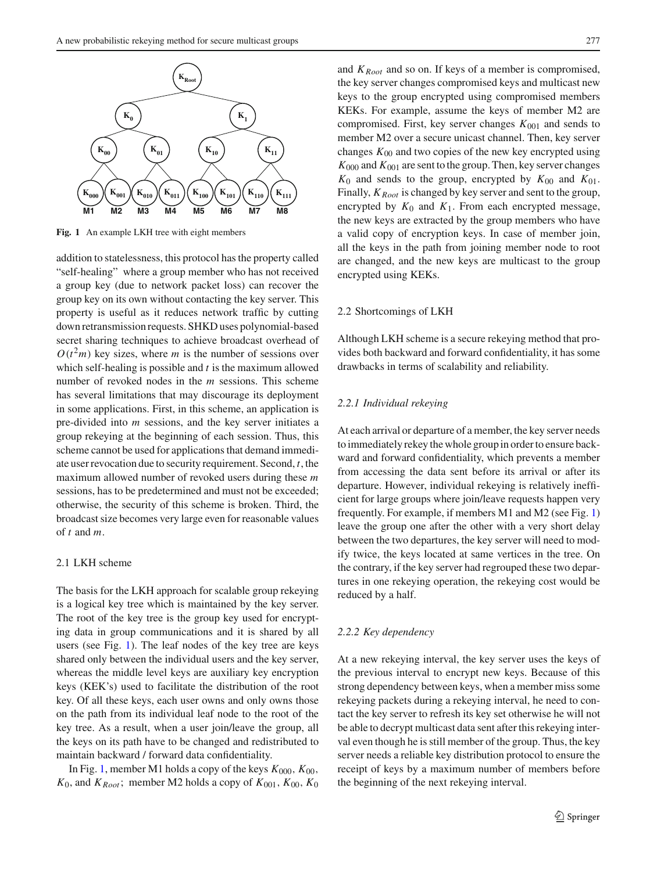

<span id="page-2-1"></span>Fig. 1 An example LKH tree with eight members

addition to statelessness, this protocol has the property called "self-healing" where a group member who has not received a group key (due to network packet loss) can recover the group key on its own without contacting the key server. This property is useful as it reduces network traffic by cutting down retransmission requests. SHKD uses polynomial-based secret sharing techniques to achieve broadcast overhead of  $O(t<sup>2</sup>m)$  key sizes, where *m* is the number of sessions over which self-healing is possible and *t* is the maximum allowed number of revoked nodes in the *m* sessions. This scheme has several limitations that may discourage its deployment in some applications. First, in this scheme, an application is pre-divided into *m* sessions, and the key server initiates a group rekeying at the beginning of each session. Thus, this scheme cannot be used for applications that demand immediate user revocation due to security requirement. Second, *t*, the maximum allowed number of revoked users during these *m* sessions, has to be predetermined and must not be exceeded; otherwise, the security of this scheme is broken. Third, the broadcast size becomes very large even for reasonable values of *t* and *m*.

## <span id="page-2-0"></span>2.1 LKH scheme

The basis for the LKH approach for scalable group rekeying is a logical key tree which is maintained by the key server. The root of the key tree is the group key used for encrypting data in group communications and it is shared by all users (see Fig. [1\)](#page-2-1). The leaf nodes of the key tree are keys shared only between the individual users and the key server, whereas the middle level keys are auxiliary key encryption keys (KEK's) used to facilitate the distribution of the root key. Of all these keys, each user owns and only owns those on the path from its individual leaf node to the root of the key tree. As a result, when a user join/leave the group, all the keys on its path have to be changed and redistributed to maintain backward / forward data confidentiality.

In Fig. [1,](#page-2-1) member M1 holds a copy of the keys  $K_{000}$ ,  $K_{00}$ ,  $K_0$ , and  $K_{Root}$ ; member M2 holds a copy of  $K_{001}$ ,  $K_{00}$ ,  $K_0$ 

and  $K_{Root}$  and so on. If keys of a member is compromised, the key server changes compromised keys and multicast new keys to the group encrypted using compromised members KEKs. For example, assume the keys of member M2 are compromised. First, key server changes  $K_{001}$  and sends to member M2 over a secure unicast channel. Then, key server changes  $K_{00}$  and two copies of the new key encrypted using  $K_{000}$  and  $K_{001}$  are sent to the group. Then, key server changes  $K_0$  and sends to the group, encrypted by  $K_{00}$  and  $K_{01}$ . Finally,  $K_{Root}$  is changed by key server and sent to the group, encrypted by  $K_0$  and  $K_1$ . From each encrypted message, the new keys are extracted by the group members who have a valid copy of encryption keys. In case of member join, all the keys in the path from joining member node to root are changed, and the new keys are multicast to the group encrypted using KEKs.

#### 2.2 Shortcomings of LKH

Although LKH scheme is a secure rekeying method that provides both backward and forward confidentiality, it has some drawbacks in terms of scalability and reliability.

## *2.2.1 Individual rekeying*

At each arrival or departure of a member, the key server needs to immediately rekey the whole group in order to ensure backward and forward confidentiality, which prevents a member from accessing the data sent before its arrival or after its departure. However, individual rekeying is relatively inefficient for large groups where join/leave requests happen very frequently. For example, if members M1 and M2 (see Fig. [1\)](#page-2-1) leave the group one after the other with a very short delay between the two departures, the key server will need to modify twice, the keys located at same vertices in the tree. On the contrary, if the key server had regrouped these two departures in one rekeying operation, the rekeying cost would be reduced by a half.

## *2.2.2 Key dependency*

At a new rekeying interval, the key server uses the keys of the previous interval to encrypt new keys. Because of this strong dependency between keys, when a member miss some rekeying packets during a rekeying interval, he need to contact the key server to refresh its key set otherwise he will not be able to decrypt multicast data sent after this rekeying interval even though he is still member of the group. Thus, the key server needs a reliable key distribution protocol to ensure the receipt of keys by a maximum number of members before the beginning of the next rekeying interval.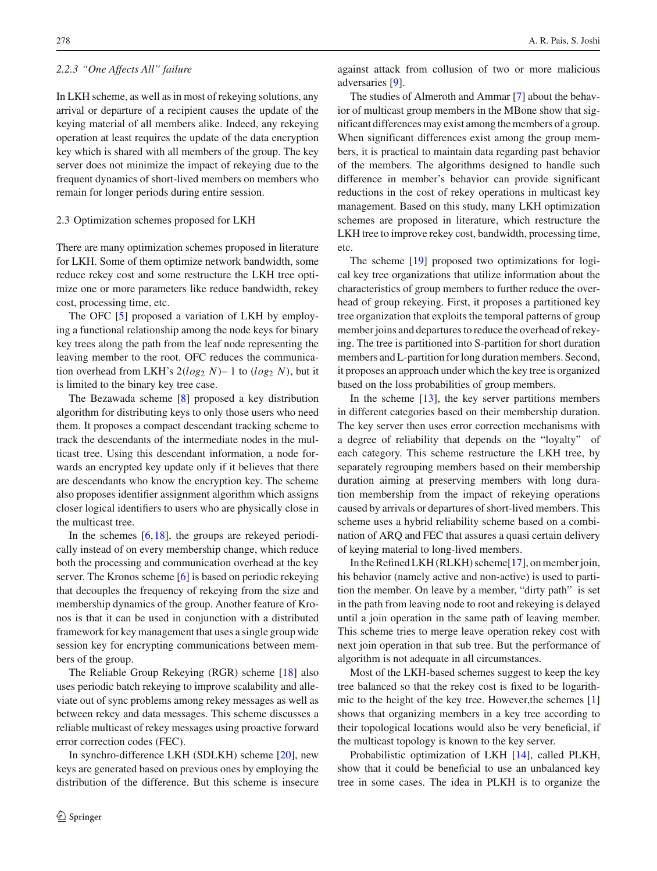## *2.2.3 "One Affects All" failure*

In LKH scheme, as well as in most of rekeying solutions, any arrival or departure of a recipient causes the update of the keying material of all members alike. Indeed, any rekeying operation at least requires the update of the data encryption key which is shared with all members of the group. The key server does not minimize the impact of rekeying due to the frequent dynamics of short-lived members on members who remain for longer periods during entire session.

## 2.3 Optimization schemes proposed for LKH

There are many optimization schemes proposed in literature for LKH. Some of them optimize network bandwidth, some reduce rekey cost and some restructure the LKH tree optimize one or more parameters like reduce bandwidth, rekey cost, processing time, etc.

The OFC [\[5\]](#page-10-6) proposed a variation of LKH by employing a functional relationship among the node keys for binary key trees along the path from the leaf node representing the leaving member to the root. OFC reduces the communication overhead from LKH's  $2(log_2 N) - 1$  to  $(log_2 N)$ , but it is limited to the binary key tree case.

The Bezawada scheme [\[8\]](#page-10-7) proposed a key distribution algorithm for distributing keys to only those users who need them. It proposes a compact descendant tracking scheme to track the descendants of the intermediate nodes in the multicast tree. Using this descendant information, a node forwards an encrypted key update only if it believes that there are descendants who know the encryption key. The scheme also proposes identifier assignment algorithm which assigns closer logical identifiers to users who are physically close in the multicast tree.

In the schemes  $[6,18]$  $[6,18]$  $[6,18]$ , the groups are rekeyed periodically instead of on every membership change, which reduce both the processing and communication overhead at the key server. The Kronos scheme [\[6\]](#page-10-8) is based on periodic rekeying that decouples the frequency of rekeying from the size and membership dynamics of the group. Another feature of Kronos is that it can be used in conjunction with a distributed framework for key management that uses a single group wide session key for encrypting communications between members of the group.

The Reliable Group Rekeying (RGR) scheme [\[18](#page-10-9)] also uses periodic batch rekeying to improve scalability and alleviate out of sync problems among rekey messages as well as between rekey and data messages. This scheme discusses a reliable multicast of rekey messages using proactive forward error correction codes (FEC).

In synchro-difference LKH (SDLKH) scheme [\[20](#page-10-10)], new keys are generated based on previous ones by employing the distribution of the difference. But this scheme is insecure

against attack from collusion of two or more malicious adversaries [\[9\]](#page-10-17).

The studies of Almeroth and Ammar [\[7](#page-10-18)] about the behavior of multicast group members in the MBone show that significant differences may exist among the members of a group. When significant differences exist among the group members, it is practical to maintain data regarding past behavior of the members. The algorithms designed to handle such difference in member's behavior can provide significant reductions in the cost of rekey operations in multicast key management. Based on this study, many LKH optimization schemes are proposed in literature, which restructure the LKH tree to improve rekey cost, bandwidth, processing time, etc.

The scheme [\[19](#page-10-15)] proposed two optimizations for logical key tree organizations that utilize information about the characteristics of group members to further reduce the overhead of group rekeying. First, it proposes a partitioned key tree organization that exploits the temporal patterns of group member joins and departures to reduce the overhead of rekeying. The tree is partitioned into S-partition for short duration members and L-partition for long duration members. Second, it proposes an approach under which the key tree is organized based on the loss probabilities of group members.

In the scheme [\[13](#page-10-12)], the key server partitions members in different categories based on their membership duration. The key server then uses error correction mechanisms with a degree of reliability that depends on the "loyalty" of each category. This scheme restructure the LKH tree, by separately regrouping members based on their membership duration aiming at preserving members with long duration membership from the impact of rekeying operations caused by arrivals or departures of short-lived members. This scheme uses a hybrid reliability scheme based on a combination of ARQ and FEC that assures a quasi certain delivery of keying material to long-lived members.

In the Refined LKH (RLKH) scheme[\[17](#page-10-14)], on member join, his behavior (namely active and non-active) is used to partition the member. On leave by a member, "dirty path" is set in the path from leaving node to root and rekeying is delayed until a join operation in the same path of leaving member. This scheme tries to merge leave operation rekey cost with next join operation in that sub tree. But the performance of algorithm is not adequate in all circumstances.

Most of the LKH-based schemes suggest to keep the key tree balanced so that the rekey cost is fixed to be logarithmic to the height of the key tree. However,the schemes [\[1\]](#page-10-11) shows that organizing members in a key tree according to their topological locations would also be very beneficial, if the multicast topology is known to the key server.

Probabilistic optimization of LKH [\[14\]](#page-10-13), called PLKH, show that it could be beneficial to use an unbalanced key tree in some cases. The idea in PLKH is to organize the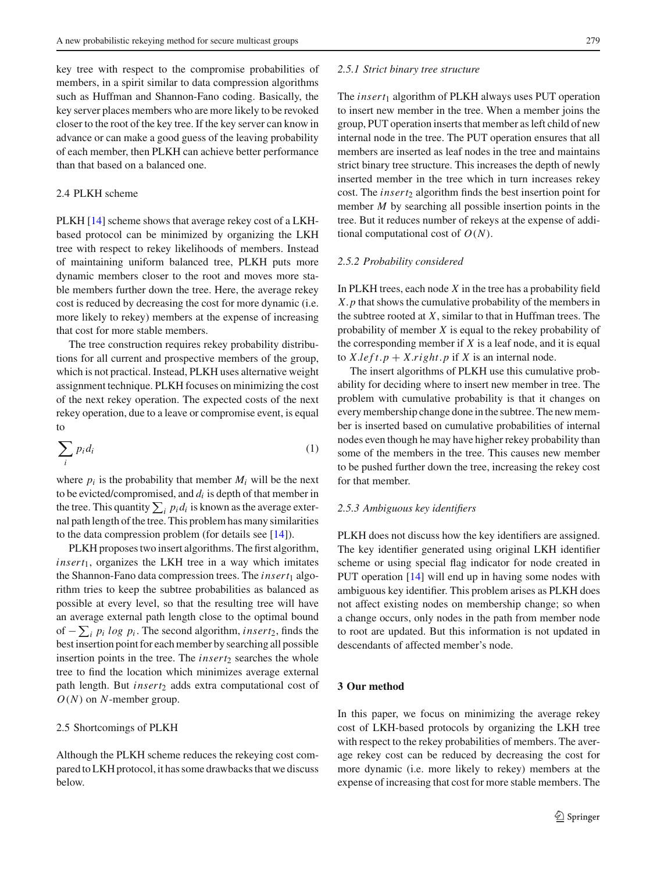key tree with respect to the compromise probabilities of members, in a spirit similar to data compression algorithms such as Huffman and Shannon-Fano coding. Basically, the key server places members who are more likely to be revoked closer to the root of the key tree. If the key server can know in advance or can make a good guess of the leaving probability of each member, then PLKH can achieve better performance than that based on a balanced one.

#### 2.4 PLKH scheme

PLKH [\[14](#page-10-13)] scheme shows that average rekey cost of a LKHbased protocol can be minimized by organizing the LKH tree with respect to rekey likelihoods of members. Instead of maintaining uniform balanced tree, PLKH puts more dynamic members closer to the root and moves more stable members further down the tree. Here, the average rekey cost is reduced by decreasing the cost for more dynamic (i.e. more likely to rekey) members at the expense of increasing that cost for more stable members.

The tree construction requires rekey probability distributions for all current and prospective members of the group, which is not practical. Instead, PLKH uses alternative weight assignment technique. PLKH focuses on minimizing the cost of the next rekey operation. The expected costs of the next rekey operation, due to a leave or compromise event, is equal to

$$
\sum_{i} p_i d_i \tag{1}
$$

where  $p_i$  is the probability that member  $M_i$  will be the next to be evicted/compromised, and *di* is depth of that member in the tree. This quantity  $\sum_i p_i d_i$  is known as the average external path length of the tree. This problem has many similarities to the data compression problem (for details see [\[14\]](#page-10-13)).

PLKH proposes two insert algorithms. The first algorithm, *insert*<sub>1</sub>, organizes the LKH tree in a way which imitates the Shannon-Fano data compression trees. The *insert*<sub>1</sub> algorithm tries to keep the subtree probabilities as balanced as possible at every level, so that the resulting tree will have an average external path length close to the optimal bound of − *<sup>i</sup> pi log pi* . The second algorithm, *insert*2, finds the best insertion point for each member by searching all possible insertion points in the tree. The *insert*<sub>2</sub> searches the whole tree to find the location which minimizes average external path length. But *insert*<sub>2</sub> adds extra computational cost of *O*(*N*) on *N*-member group.

#### 2.5 Shortcomings of PLKH

Although the PLKH scheme reduces the rekeying cost compared to LKH protocol, it has some drawbacks that we discuss below.

#### *2.5.1 Strict binary tree structure*

The *insert*<sub>1</sub> algorithm of PLKH always uses PUT operation to insert new member in the tree. When a member joins the group, PUT operation inserts that member as left child of new internal node in the tree. The PUT operation ensures that all members are inserted as leaf nodes in the tree and maintains strict binary tree structure. This increases the depth of newly inserted member in the tree which in turn increases rekey cost. The *insert*<sub>2</sub> algorithm finds the best insertion point for member *M* by searching all possible insertion points in the tree. But it reduces number of rekeys at the expense of additional computational cost of *O*(*N*).

### *2.5.2 Probability considered*

In PLKH trees, each node *X* in the tree has a probability field *X*.*p* that shows the cumulative probability of the members in the subtree rooted at *X*, similar to that in Huffman trees. The probability of member *X* is equal to the rekey probability of the corresponding member if *X* is a leaf node, and it is equal to *X*.*left*.*p* + *X*.*right*.*p* if *X* is an internal node.

The insert algorithms of PLKH use this cumulative probability for deciding where to insert new member in tree. The problem with cumulative probability is that it changes on every membership change done in the subtree. The new member is inserted based on cumulative probabilities of internal nodes even though he may have higher rekey probability than some of the members in the tree. This causes new member to be pushed further down the tree, increasing the rekey cost for that member.

### *2.5.3 Ambiguous key identifiers*

PLKH does not discuss how the key identifiers are assigned. The key identifier generated using original LKH identifier scheme or using special flag indicator for node created in PUT operation [\[14\]](#page-10-13) will end up in having some nodes with ambiguous key identifier. This problem arises as PLKH does not affect existing nodes on membership change; so when a change occurs, only nodes in the path from member node to root are updated. But this information is not updated in descendants of affected member's node.

# <span id="page-4-0"></span>**3 Our method**

In this paper, we focus on minimizing the average rekey cost of LKH-based protocols by organizing the LKH tree with respect to the rekey probabilities of members. The average rekey cost can be reduced by decreasing the cost for more dynamic (i.e. more likely to rekey) members at the expense of increasing that cost for more stable members. The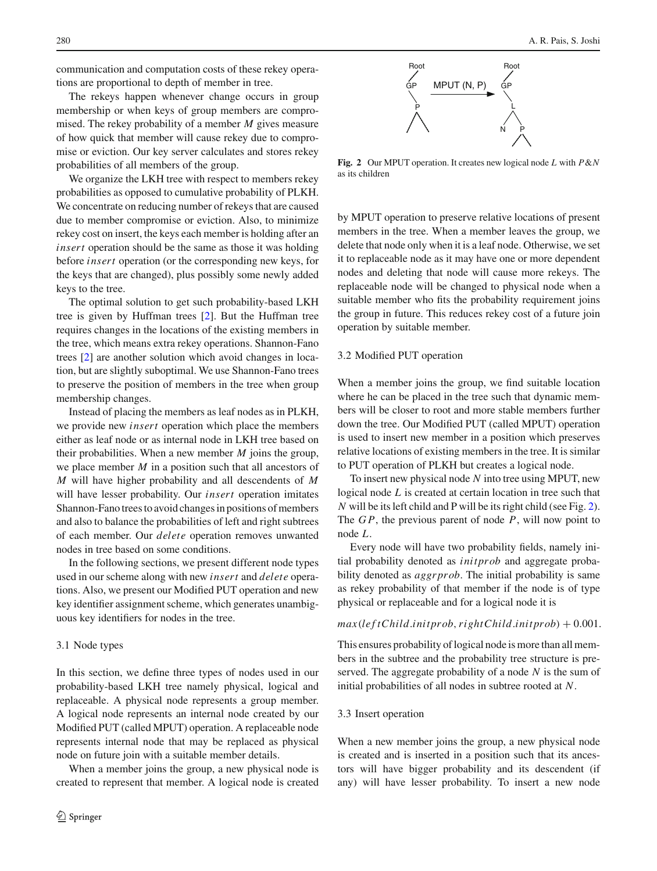communication and computation costs of these rekey operations are proportional to depth of member in tree.

The rekeys happen whenever change occurs in group membership or when keys of group members are compromised. The rekey probability of a member *M* gives measure of how quick that member will cause rekey due to compromise or eviction. Our key server calculates and stores rekey probabilities of all members of the group.

We organize the LKH tree with respect to members rekey probabilities as opposed to cumulative probability of PLKH. We concentrate on reducing number of rekeys that are caused due to member compromise or eviction. Also, to minimize rekey cost on insert, the keys each member is holding after an *insert* operation should be the same as those it was holding before *insert* operation (or the corresponding new keys, for the keys that are changed), plus possibly some newly added keys to the tree.

The optimal solution to get such probability-based LKH tree is given by Huffman trees [\[2\]](#page-10-19). But the Huffman tree requires changes in the locations of the existing members in the tree, which means extra rekey operations. Shannon-Fano trees [\[2](#page-10-19)] are another solution which avoid changes in location, but are slightly suboptimal. We use Shannon-Fano trees to preserve the position of members in the tree when group membership changes.

Instead of placing the members as leaf nodes as in PLKH, we provide new *insert* operation which place the members either as leaf node or as internal node in LKH tree based on their probabilities. When a new member *M* joins the group, we place member *M* in a position such that all ancestors of *M* will have higher probability and all descendents of *M* will have lesser probability. Our *insert* operation imitates Shannon-Fano trees to avoid changes in positions of members and also to balance the probabilities of left and right subtrees of each member. Our *delete* operation removes unwanted nodes in tree based on some conditions.

In the following sections, we present different node types used in our scheme along with new *insert* and *delete* operations. Also, we present our Modified PUT operation and new key identifier assignment scheme, which generates unambiguous key identifiers for nodes in the tree.

## 3.1 Node types

In this section, we define three types of nodes used in our probability-based LKH tree namely physical, logical and replaceable. A physical node represents a group member. A logical node represents an internal node created by our Modified PUT (called MPUT) operation. A replaceable node represents internal node that may be replaced as physical node on future join with a suitable member details.

When a member joins the group, a new physical node is created to represent that member. A logical node is created



<span id="page-5-0"></span>**Fig. 2** Our MPUT operation. It creates new logical node *L* with *P*&*N* as its children

by MPUT operation to preserve relative locations of present members in the tree. When a member leaves the group, we delete that node only when it is a leaf node. Otherwise, we set it to replaceable node as it may have one or more dependent nodes and deleting that node will cause more rekeys. The replaceable node will be changed to physical node when a suitable member who fits the probability requirement joins the group in future. This reduces rekey cost of a future join operation by suitable member.

## 3.2 Modified PUT operation

When a member joins the group, we find suitable location where he can be placed in the tree such that dynamic members will be closer to root and more stable members further down the tree. Our Modified PUT (called MPUT) operation is used to insert new member in a position which preserves relative locations of existing members in the tree. It is similar to PUT operation of PLKH but creates a logical node.

To insert new physical node *N* into tree using MPUT, new logical node *L* is created at certain location in tree such that *N* will be its left child and P will be its right child (see Fig. [2\)](#page-5-0). The *G P*, the previous parent of node *P*, will now point to node *L*.

Every node will have two probability fields, namely initial probability denoted as *initprob* and aggregate probability denoted as *aggrprob*. The initial probability is same as rekey probability of that member if the node is of type physical or replaceable and for a logical node it is

## *max*(*lef tChild*.*initprob*,*rightChild*.*initprob*) + 0.001.

This ensures probability of logical node is more than all members in the subtree and the probability tree structure is preserved. The aggregate probability of a node *N* is the sum of initial probabilities of all nodes in subtree rooted at *N*.

## 3.3 Insert operation

When a new member joins the group, a new physical node is created and is inserted in a position such that its ancestors will have bigger probability and its descendent (if any) will have lesser probability. To insert a new node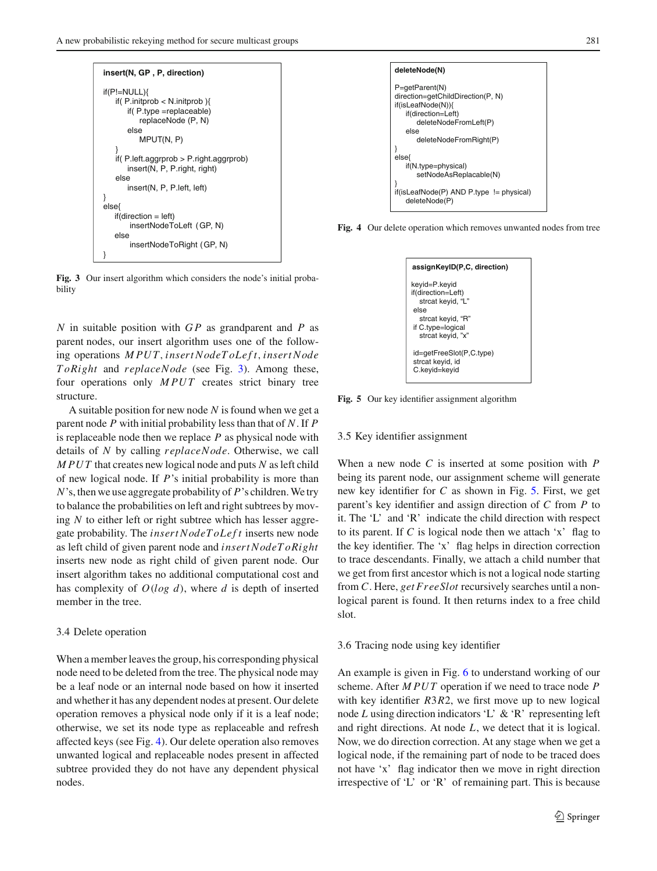| insert(N, GP, P, direction)                  |
|----------------------------------------------|
| if(P!=NULL){                                 |
| if( P.initprob $\lt$ N.initprob ){           |
| if(P.type =replaceable)                      |
| replaceNode (P, N)                           |
| else                                         |
| MPUT(N, P)                                   |
| ł                                            |
| if ( $P$ left aggrprob $> P$ right aggrprob) |
| insert(N, P, P.right, right)                 |
| else                                         |
| insert(N, P, P. left, left)                  |
| ł                                            |
| else{                                        |
| if(direction = left)                         |
| insertNodeToLeft (GP, N)                     |
| else                                         |
| insertNodeToRight (GP, N)                    |
|                                              |

<span id="page-6-0"></span>**Fig. 3** Our insert algorithm which considers the node's initial probability

*N* in suitable position with *G P* as grandparent and *P* as parent nodes, our insert algorithm uses one of the following operations *MPUT*,*insert NodeT oLef t*,*insert Node ToRight* and *replaceNode* (see Fig. [3\)](#page-6-0). Among these, four operations only *MPUT* creates strict binary tree structure.

A suitable position for new node *N* is found when we get a parent node *P* with initial probability less than that of *N*. If *P* is replaceable node then we replace *P* as physical node with details of *N* by calling *replaceNode*. Otherwise, we call *MPUT* that creates new logical node and puts *N* as left child of new logical node. If *P*'s initial probability is more than *N*'s, then we use aggregate probability of *P*'s children. We try to balance the probabilities on left and right subtrees by moving *N* to either left or right subtree which has lesser aggregate probability. The *insert NodeT oLef t* inserts new node as left child of given parent node and *insert NodeT oRight* inserts new node as right child of given parent node. Our insert algorithm takes no additional computational cost and has complexity of *O*(*log d*), where *d* is depth of inserted member in the tree.

## 3.4 Delete operation

When a member leaves the group, his corresponding physical node need to be deleted from the tree. The physical node may be a leaf node or an internal node based on how it inserted and whether it has any dependent nodes at present. Our delete operation removes a physical node only if it is a leaf node; otherwise, we set its node type as replaceable and refresh affected keys (see Fig. [4\)](#page-6-1). Our delete operation also removes unwanted logical and replaceable nodes present in affected subtree provided they do not have any dependent physical nodes.



<span id="page-6-1"></span>**Fig. 4** Our delete operation which removes unwanted nodes from tree

| assignKeyID(P,C, direction)                                                                                                     |
|---------------------------------------------------------------------------------------------------------------------------------|
| keyid=P.keyid<br>if(direction=Left)<br>strcat keyid, "L"<br>else<br>strcat keyid, "R"<br>if C.type=logical<br>strcat keyid, "x" |
| id=getFreeSlot(P,C.type)<br>strcat keyid, id<br>C.keyid=keyid                                                                   |

<span id="page-6-2"></span>**Fig. 5** Our key identifier assignment algorithm

## 3.5 Key identifier assignment

When a new node *C* is inserted at some position with *P* being its parent node, our assignment scheme will generate new key identifier for *C* as shown in Fig. [5.](#page-6-2) First, we get parent's key identifier and assign direction of *C* from *P* to it. The 'L' and 'R' indicate the child direction with respect to its parent. If *C* is logical node then we attach 'x' flag to the key identifier. The 'x' flag helps in direction correction to trace descendants. Finally, we attach a child number that we get from first ancestor which is not a logical node starting from *C*. Here, *get FreeSlot* recursively searches until a nonlogical parent is found. It then returns index to a free child slot.

#### 3.6 Tracing node using key identifier

An example is given in Fig. [6](#page-7-1) to understand working of our scheme. After *MPUT* operation if we need to trace node *P* with key identifier *R*3*R*2, we first move up to new logical node *L* using direction indicators 'L' & 'R' representing left and right directions. At node *L*, we detect that it is logical. Now, we do direction correction. At any stage when we get a logical node, if the remaining part of node to be traced does not have 'x' flag indicator then we move in right direction irrespective of 'L' or 'R' of remaining part. This is because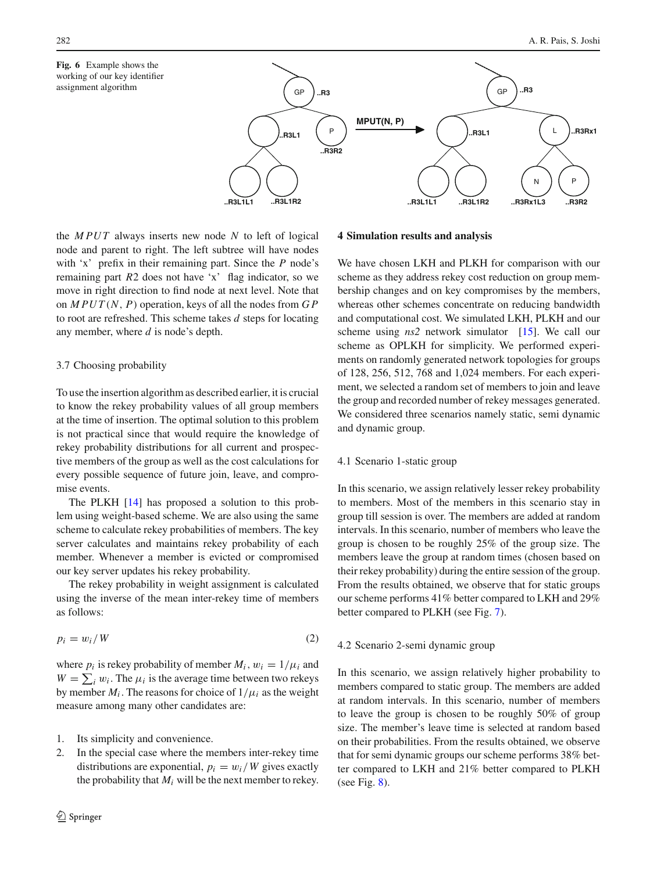<span id="page-7-1"></span>



the *MPUT* always inserts new node *N* to left of logical node and parent to right. The left subtree will have nodes with 'x' prefix in their remaining part. Since the *P* node's remaining part *R*2 does not have 'x' flag indicator, so we move in right direction to find node at next level. Note that on *MPUT* (*N*, *P*) operation, keys of all the nodes from *G P* to root are refreshed. This scheme takes *d* steps for locating any member, where *d* is node's depth.

## 3.7 Choosing probability

To use the insertion algorithm as described earlier, it is crucial to know the rekey probability values of all group members at the time of insertion. The optimal solution to this problem is not practical since that would require the knowledge of rekey probability distributions for all current and prospective members of the group as well as the cost calculations for every possible sequence of future join, leave, and compromise events.

The PLKH [\[14\]](#page-10-13) has proposed a solution to this problem using weight-based scheme. We are also using the same scheme to calculate rekey probabilities of members. The key server calculates and maintains rekey probability of each member. Whenever a member is evicted or compromised our key server updates his rekey probability.

The rekey probability in weight assignment is calculated using the inverse of the mean inter-rekey time of members as follows:

$$
p_i = w_i / W \tag{2}
$$

where  $p_i$  is rekey probability of member  $M_i$ ,  $w_i = 1/\mu_i$  and  $W = \sum_i w_i$ . The  $\mu_i$  is the average time between two rekeys by member  $M_i$ . The reasons for choice of  $1/\mu_i$  as the weight measure among many other candidates are:

- 1. Its simplicity and convenience.
- 2. In the special case where the members inter-rekey time distributions are exponential,  $p_i = w_i / W$  gives exactly the probability that  $M_i$  will be the next member to rekey.

#### <span id="page-7-0"></span>**4 Simulation results and analysis**

We have chosen LKH and PLKH for comparison with our scheme as they address rekey cost reduction on group membership changes and on key compromises by the members, whereas other schemes concentrate on reducing bandwidth and computational cost. We simulated LKH, PLKH and our scheme using *ns*2 network simulator [\[15](#page-10-20)]. We call our scheme as OPLKH for simplicity. We performed experiments on randomly generated network topologies for groups of 128, 256, 512, 768 and 1,024 members. For each experiment, we selected a random set of members to join and leave the group and recorded number of rekey messages generated. We considered three scenarios namely static, semi dynamic and dynamic group.

## 4.1 Scenario 1-static group

In this scenario, we assign relatively lesser rekey probability to members. Most of the members in this scenario stay in group till session is over. The members are added at random intervals. In this scenario, number of members who leave the group is chosen to be roughly 25% of the group size. The members leave the group at random times (chosen based on their rekey probability) during the entire session of the group. From the results obtained, we observe that for static groups our scheme performs 41% better compared to LKH and 29% better compared to PLKH (see Fig. [7\)](#page-8-0).

#### 4.2 Scenario 2-semi dynamic group

In this scenario, we assign relatively higher probability to members compared to static group. The members are added at random intervals. In this scenario, number of members to leave the group is chosen to be roughly 50% of group size. The member's leave time is selected at random based on their probabilities. From the results obtained, we observe that for semi dynamic groups our scheme performs 38% better compared to LKH and 21% better compared to PLKH (see Fig.  $8$ ).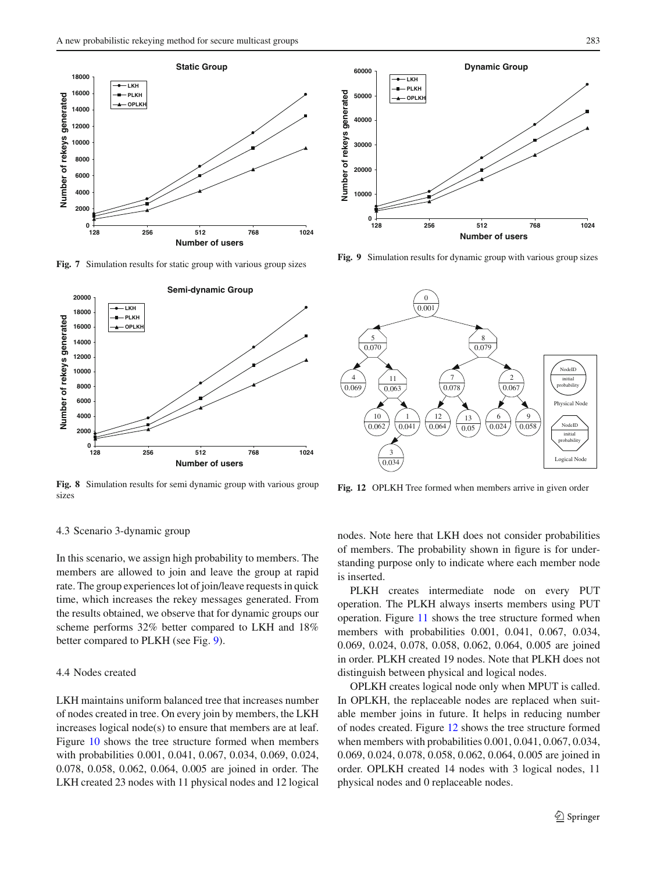

**Fig. 7** Simulation results for static group with various group sizes

<span id="page-8-0"></span>

<span id="page-8-1"></span>**Fig. 8** Simulation results for semi dynamic group with various group sizes



**Fig. 9** Simulation results for dynamic group with various group sizes

<span id="page-8-2"></span>

<span id="page-8-3"></span>**Fig. 12** OPLKH Tree formed when members arrive in given order

#### 4.3 Scenario 3-dynamic group

In this scenario, we assign high probability to members. The members are allowed to join and leave the group at rapid rate. The group experiences lot of join/leave requests in quick time, which increases the rekey messages generated. From the results obtained, we observe that for dynamic groups our scheme performs 32% better compared to LKH and 18% better compared to PLKH (see Fig. [9\)](#page-8-2).

#### 4.4 Nodes created

LKH maintains uniform balanced tree that increases number of nodes created in tree. On every join by members, the LKH increases logical node(s) to ensure that members are at leaf. Figure [10](#page-9-0) shows the tree structure formed when members with probabilities 0.001, 0.041, 0.067, 0.034, 0.069, 0.024, 0.078, 0.058, 0.062, 0.064, 0.005 are joined in order. The LKH created 23 nodes with 11 physical nodes and 12 logical nodes. Note here that LKH does not consider probabilities of members. The probability shown in figure is for understanding purpose only to indicate where each member node is inserted.

PLKH creates intermediate node on every PUT operation. The PLKH always inserts members using PUT operation. Figure [11](#page-9-1) shows the tree structure formed when members with probabilities 0.001, 0.041, 0.067, 0.034, 0.069, 0.024, 0.078, 0.058, 0.062, 0.064, 0.005 are joined in order. PLKH created 19 nodes. Note that PLKH does not distinguish between physical and logical nodes.

OPLKH creates logical node only when MPUT is called. In OPLKH, the replaceable nodes are replaced when suitable member joins in future. It helps in reducing number of nodes created. Figure [12](#page-8-3) shows the tree structure formed when members with probabilities 0.001, 0.041, 0.067, 0.034, 0.069, 0.024, 0.078, 0.058, 0.062, 0.064, 0.005 are joined in order. OPLKH created 14 nodes with 3 logical nodes, 11 physical nodes and 0 replaceable nodes.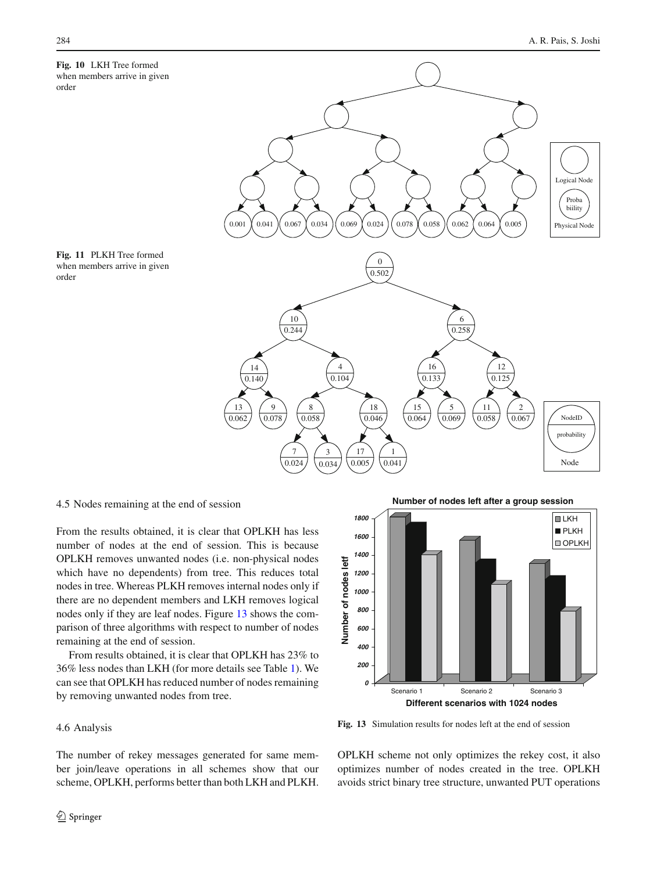<span id="page-9-1"></span><span id="page-9-0"></span>

4.5 Nodes remaining at the end of session

From the results obtained, it is clear that OPLKH has less number of nodes at the end of session. This is because OPLKH removes unwanted nodes (i.e. non-physical nodes which have no dependents) from tree. This reduces total nodes in tree. Whereas PLKH removes internal nodes only if there are no dependent members and LKH removes logical nodes only if they are leaf nodes. Figure [13](#page-9-2) shows the comparison of three algorithms with respect to number of nodes remaining at the end of session.

From results obtained, it is clear that OPLKH has 23% to 36% less nodes than LKH (for more details see Table [1\)](#page-10-21). We can see that OPLKH has reduced number of nodes remaining by removing unwanted nodes from tree.

## 4.6 Analysis

The number of rekey messages generated for same member join/leave operations in all schemes show that our scheme, OPLKH, performs better than both LKH and PLKH.

**Number of nodes left after a group session** 



<span id="page-9-2"></span>**Fig. 13** Simulation results for nodes left at the end of session

OPLKH scheme not only optimizes the rekey cost, it also optimizes number of nodes created in the tree. OPLKH avoids strict binary tree structure, unwanted PUT operations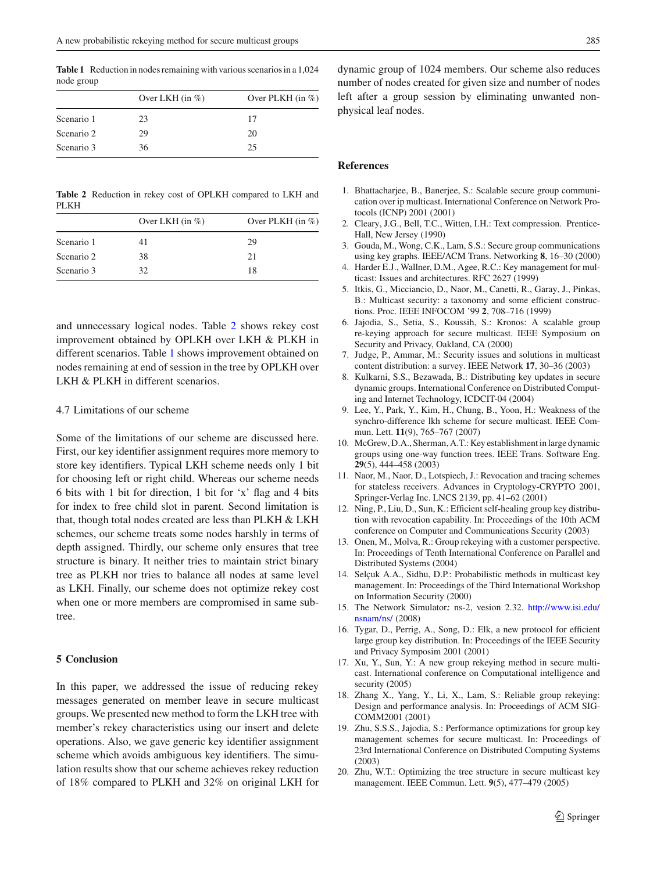<span id="page-10-21"></span>**Table 1** Reduction in nodes remaining with various scenarios in a 1,024 node group

|            | Over LKH $(in %)$ | Over PLKH (in $%$ ) |
|------------|-------------------|---------------------|
| Scenario 1 | 23                | 17                  |
| Scenario 2 | 29                | 20                  |
| Scenario 3 | 36                | 25                  |

<span id="page-10-22"></span>**Table 2** Reduction in rekey cost of OPLKH compared to LKH and PLKH

|            | Over LKH (in $\%$ ) | Over PLKH $(in %)$ |
|------------|---------------------|--------------------|
| Scenario 1 | 41                  | 29                 |
| Scenario 2 | 38                  | 21                 |
| Scenario 3 | 32.                 | 18                 |

and unnecessary logical nodes. Table [2](#page-10-22) shows rekey cost improvement obtained by OPLKH over LKH & PLKH in different scenarios. Table [1](#page-10-21) shows improvement obtained on nodes remaining at end of session in the tree by OPLKH over LKH & PLKH in different scenarios.

# 4.7 Limitations of our scheme

Some of the limitations of our scheme are discussed here. First, our key identifier assignment requires more memory to store key identifiers. Typical LKH scheme needs only 1 bit for choosing left or right child. Whereas our scheme needs 6 bits with 1 bit for direction, 1 bit for 'x' flag and 4 bits for index to free child slot in parent. Second limitation is that, though total nodes created are less than PLKH & LKH schemes, our scheme treats some nodes harshly in terms of depth assigned. Thirdly, our scheme only ensures that tree structure is binary. It neither tries to maintain strict binary tree as PLKH nor tries to balance all nodes at same level as LKH. Finally, our scheme does not optimize rekey cost when one or more members are compromised in same subtree.

## <span id="page-10-16"></span>**5 Conclusion**

In this paper, we addressed the issue of reducing rekey messages generated on member leave in secure multicast groups. We presented new method to form the LKH tree with member's rekey characteristics using our insert and delete operations. Also, we gave generic key identifier assignment scheme which avoids ambiguous key identifiers. The simulation results show that our scheme achieves rekey reduction of 18% compared to PLKH and 32% on original LKH for dynamic group of 1024 members. Our scheme also reduces number of nodes created for given size and number of nodes left after a group session by eliminating unwanted nonphysical leaf nodes.

#### <span id="page-10-11"></span>**References**

- 1. Bhattacharjee, B., Banerjee, S.: Scalable secure group communication over ip multicast. International Conference on Network Protocols (ICNP) 2001 (2001)
- <span id="page-10-19"></span>2. Cleary, J.G., Bell, T.C., Witten, I.H.: Text compression. Prentice-Hall, New Jersey (1990)
- <span id="page-10-1"></span>3. Gouda, M., Wong, C.K., Lam, S.S.: Secure group communications using key graphs. IEEE/ACM Trans. Networking **8**, 16–30 (2000)
- <span id="page-10-0"></span>4. Harder E.J., Wallner, D.M., Agee, R.C.: Key management for multicast: Issues and architectures. RFC 2627 (1999)
- <span id="page-10-6"></span>5. Itkis, G., Micciancio, D., Naor, M., Canetti, R., Garay, J., Pinkas, B.: Multicast security: a taxonomy and some efficient constructions. Proc. IEEE INFOCOM '99 **2**, 708–716 (1999)
- <span id="page-10-8"></span>6. Jajodia, S., Setia, S., Koussih, S.: Kronos: A scalable group re-keying approach for secure multicast. IEEE Symposium on Security and Privacy, Oakland, CA (2000)
- <span id="page-10-18"></span>7. Judge, P., Ammar, M.: Security issues and solutions in multicast content distribution: a survey. IEEE Network **17**, 30–36 (2003)
- <span id="page-10-7"></span>8. Kulkarni, S.S., Bezawada, B.: Distributing key updates in secure dynamic groups. International Conference on Distributed Computing and Internet Technology, ICDCIT-04 (2004)
- <span id="page-10-17"></span>9. Lee, Y., Park, Y., Kim, H., Chung, B., Yoon, H.: Weakness of the synchro-difference lkh scheme for secure multicast. IEEE Commun. Lett. **11**(9), 765–767 (2007)
- <span id="page-10-2"></span>10. McGrew, D.A., Sherman, A.T.: Key establishment in large dynamic groups using one-way function trees. IEEE Trans. Software Eng. **29**(5), 444–458 (2003)
- <span id="page-10-4"></span>11. Naor, M., Naor, D., Lotspiech, J.: Revocation and tracing schemes for stateless receivers. Advances in Cryptology-CRYPTO 2001, Springer-Verlag Inc. LNCS 2139, pp. 41–62 (2001)
- <span id="page-10-5"></span>12. Ning, P., Liu, D., Sun, K.: Efficient self-healing group key distribution with revocation capability. In: Proceedings of the 10th ACM conference on Computer and Communications Security (2003)
- <span id="page-10-12"></span>13. Onen, M., Molva, R.: Group rekeying with a customer perspective. In: Proceedings of Tenth International Conference on Parallel and Distributed Systems (2004)
- <span id="page-10-13"></span>14. Selçuk A.A., Sidhu, D.P.: Probabilistic methods in multicast key management. In: Proceedings of the Third International Workshop on Information Security (2000)
- <span id="page-10-20"></span>15. The Network Simulator.: ns-2, vesion 2.32. [http://www.isi.edu/](http://www.isi.edu/nsnam/ns/) [nsnam/ns/](http://www.isi.edu/nsnam/ns/) (2008)
- <span id="page-10-3"></span>16. Tygar, D., Perrig, A., Song, D.: Elk, a new protocol for efficient large group key distribution. In: Proceedings of the IEEE Security and Privacy Symposim 2001 (2001)
- <span id="page-10-14"></span>17. Xu, Y., Sun, Y.: A new group rekeying method in secure multicast. International conference on Computational intelligence and security (2005)
- <span id="page-10-9"></span>18. Zhang X., Yang, Y., Li, X., Lam, S.: Reliable group rekeying: Design and performance analysis. In: Proceedings of ACM SIG-COMM2001 (2001)
- <span id="page-10-15"></span>19. Zhu, S.S.S., Jajodia, S.: Performance optimizations for group key management schemes for secure multicast. In: Proceedings of 23rd International Conference on Distributed Computing Systems (2003)
- <span id="page-10-10"></span>20. Zhu, W.T.: Optimizing the tree structure in secure multicast key management. IEEE Commun. Lett. **9**(5), 477–479 (2005)